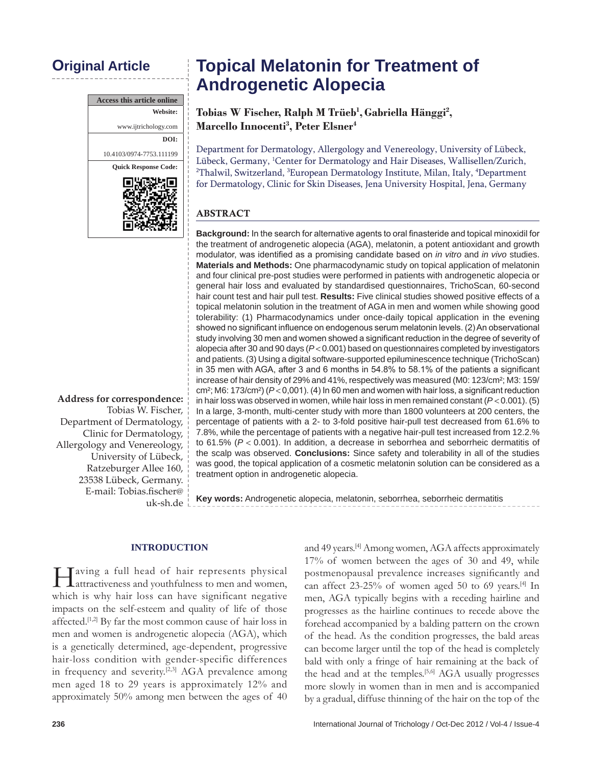| <b>Access this article online</b> |  |  |  |
|-----------------------------------|--|--|--|
| Website:                          |  |  |  |
| www.ijtrichology.com              |  |  |  |
| DOI:                              |  |  |  |
| 10.4103/0974-7753.111199          |  |  |  |
| <b>Ouick Response Code:</b>       |  |  |  |
|                                   |  |  |  |

**Address for correspondence:** Tobias W. Fischer, Department of Dermatology, Clinic for Dermatology, Allergology and Venereology, University of Lübeck, Ratzeburger Allee 160, 23538 Lübeck, Germany. E‑mail: Tobias.fischer@ uk‑sh.de

# **Original Article Topical Melatonin for Treatment of Androgenetic Alopecia**

**Tobias W Fischer, Ralph M Trüeb1 ,Gabriella Hänggi2 , Marcello Innocenti3 , Peter Elsner4**

Department for Dermatology, Allergology and Venereology, University of Lübeck, Lübeck, Germany, 1 Center for Dermatology and Hair Diseases, Wallisellen/Zurich, 2 Thalwil, Switzerland, 3 European Dermatology Institute, Milan, Italy, 4 Department for Dermatology, Clinic for Skin Diseases, Jena University Hospital, Jena, Germany

# ABSTRACT

**Background:** In the search for alternative agents to oral finasteride and topical minoxidil for the treatment of androgenetic alopecia (AGA), melatonin, a potent antioxidant and growth modulator, was identified as a promising candidate based on *in vitro* and *in vivo* studies. **Materials and Methods:** One pharmacodynamic study on topical application of melatonin and four clinical pre-post studies were performed in patients with androgenetic alopecia or general hair loss and evaluated by standardised questionnaires, TrichoScan, 60-second hair count test and hair pull test. **Results:** Five clinical studies showed positive effects of a topical melatonin solution in the treatment of AGA in men and women while showing good tolerability: (1) Pharmacodynamics under once-daily topical application in the evening showed no significant influence on endogenous serum melatonin levels. (2) An observational study involving 30 men and women showed a significant reduction in the degree of severity of alopecia after 30 and 90 days (*P*< 0.001) based on questionnaires completed by investigators and patients. (3) Using a digital software-supported epiluminescence technique (TrichoScan) in 35 men with AGA, after 3 and 6 months in 54.8% to 58.1% of the patients a significant increase of hair density of 29% and 41%, respectively was measured (M0: 123/cm²; M3: 159/ cm²; M6: 173/cm²) (*P* < 0,001). (4) In 60 men and women with hair loss, a significant reduction in hair loss was observed in women, while hair loss in men remained constant (*P* < 0.001). (5) In a large, 3-month, multi-center study with more than 1800 volunteers at 200 centers, the percentage of patients with a 2- to 3-fold positive hair-pull test decreased from 61.6% to 7.8%, while the percentage of patients with a negative hair-pull test increased from 12.2.% to 61.5% (*P* < 0.001). In addition, a decrease in seborrhea and seborrheic dermatitis of the scalp was observed. **Conclusions:** Since safety and tolerability in all of the studies was good, the topical application of a cosmetic melatonin solution can be considered as a treatment option in androgenetic alopecia.

**Key words:** Androgenetic alopecia, melatonin, seborrhea, seborrheic dermatitis

#### **INTRODUCTION**

Having a full head of hair represents physical attractiveness and youthfulness to men and women, which is why hair loss can have significant negative impacts on the self-esteem and quality of life of those affected.[1,2] By far the most common cause of hair loss in men and women is androgenetic alopecia (AGA), which is a genetically determined, age-dependent, progressive hair-loss condition with gender-specific differences in frequency and severity.<sup>[2,3]</sup> AGA prevalence among men aged 18 to 29 years is approximately 12% and approximately 50% among men between the ages of 40

and 49 years.<sup>[4]</sup> Among women, AGA affects approximately 17% of women between the ages of 30 and 49, while postmenopausal prevalence increases significantly and can affect 23-25% of women aged 50 to 69 years.[4] In men, AGA typically begins with a receding hairline and progresses as the hairline continues to recede above the forehead accompanied by a balding pattern on the crown of the head. As the condition progresses, the bald areas can become larger until the top of the head is completely bald with only a fringe of hair remaining at the back of the head and at the temples.<sup>[5,6]</sup> AGA usually progresses more slowly in women than in men and is accompanied by a gradual, diffuse thinning of the hair on the top of the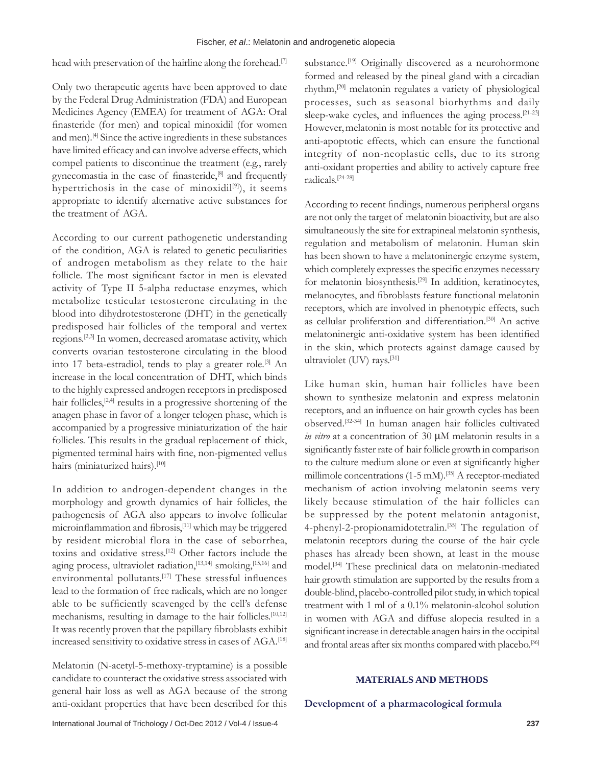head with preservation of the hairline along the forehead.<sup>[7]</sup>

Only two therapeutic agents have been approved to date by the Federal Drug Administration (FDA) and European Medicines Agency (EMEA) for treatment of AGA: Oral finasteride (for men) and topical minoxidil (for women and men).<sup>[4]</sup> Since the active ingredients in these substances have limited efficacy and can involve adverse effects, which compel patients to discontinue the treatment (e.g., rarely gynecomastia in the case of finasteride,<sup>[8]</sup> and frequently hypertrichosis in the case of minoxidil<sup>[9]</sup>), it seems appropriate to identify alternative active substances for the treatment of AGA.

According to our current pathogenetic understanding of the condition, AGA is related to genetic peculiarities of androgen metabolism as they relate to the hair follicle. The most significant factor in men is elevated activity of Type II 5-alpha reductase enzymes, which metabolize testicular testosterone circulating in the blood into dihydrotestosterone (DHT) in the genetically predisposed hair follicles of the temporal and vertex regions.[2,3] In women, decreased aromatase activity, which converts ovarian testosterone circulating in the blood into 17 beta-estradiol, tends to play a greater role.<sup>[3]</sup> An increase in the local concentration of DHT, which binds to the highly expressed androgen receptors in predisposed hair follicles,<sup>[2,4]</sup> results in a progressive shortening of the anagen phase in favor of a longer telogen phase, which is accompanied by a progressive miniaturization of the hair follicles. This results in the gradual replacement of thick, pigmented terminal hairs with fine, non‑pigmented vellus hairs (miniaturized hairs).<sup>[10]</sup>

In addition to androgen-dependent changes in the morphology and growth dynamics of hair follicles, the pathogenesis of AGA also appears to involve follicular microinflammation and fibrosis,[11] which may be triggered by resident microbial flora in the case of seborrhea, toxins and oxidative stress.[12] Other factors include the aging process, ultraviolet radiation,[13,14] smoking,[15,16] and environmental pollutants.<sup>[17]</sup> These stressful influences lead to the formation of free radicals, which are no longer able to be sufficiently scavenged by the cell's defense mechanisms, resulting in damage to the hair follicles.<sup>[10,12]</sup> It was recently proven that the papillary fibroblasts exhibit increased sensitivity to oxidative stress in cases of AGA.[18]

Melatonin (N-acetyl-5-methoxy-tryptamine) is a possible candidate to counteract the oxidative stress associated with general hair loss as well as AGA because of the strong anti-oxidant properties that have been described for this

substance.<sup>[19]</sup> Originally discovered as a neurohormone formed and released by the pineal gland with a circadian rhythm,[20] melatonin regulates a variety of physiological processes, such as seasonal biorhythms and daily sleep-wake cycles, and influences the aging process.<sup>[21-23]</sup> However, melatonin is most notable for its protective and anti-apoptotic effects, which can ensure the functional integrity of non-neoplastic cells, due to its strong anti-oxidant properties and ability to actively capture free radicals.[24-28]

According to recent findings, numerous peripheral organs are not only the target of melatonin bioactivity, but are also simultaneously the site for extrapineal melatonin synthesis, regulation and metabolism of melatonin. Human skin has been shown to have a melatoninergic enzyme system, which completely expresses the specific enzymes necessary for melatonin biosynthesis.[29] In addition, keratinocytes, melanocytes, and fibroblasts feature functional melatonin receptors, which are involved in phenotypic effects, such as cellular proliferation and differentiation.[30] An active melatoninergic anti‑oxidative system has been identified in the skin, which protects against damage caused by ultraviolet (UV) rays.[31]

Like human skin, human hair follicles have been shown to synthesize melatonin and express melatonin receptors, and an influence on hair growth cycles has been observed.[32-34] In human anagen hair follicles cultivated *in vitro* at a concentration of 30 µM melatonin results in a significantly faster rate of hair follicle growth in comparison to the culture medium alone or even at significantly higher millimole concentrations (1-5 mM).<sup>[35]</sup> A receptor-mediated mechanism of action involving melatonin seems very likely because stimulation of the hair follicles can be suppressed by the potent melatonin antagonist, 4-phenyl-2-propionamidotetralin.[35] The regulation of melatonin receptors during the course of the hair cycle phases has already been shown, at least in the mouse model.[34] These preclinical data on melatonin-mediated hair growth stimulation are supported by the results from a double-blind, placebo-controlled pilot study, in which topical treatment with 1 ml of a 0.1% melatonin-alcohol solution in women with AGA and diffuse alopecia resulted in a significant increase in detectable anagen hairs in the occipital and frontal areas after six months compared with placebo.<sup>[36]</sup>

### **MATERIALS AND METHODS**

**Development of a pharmacological formula**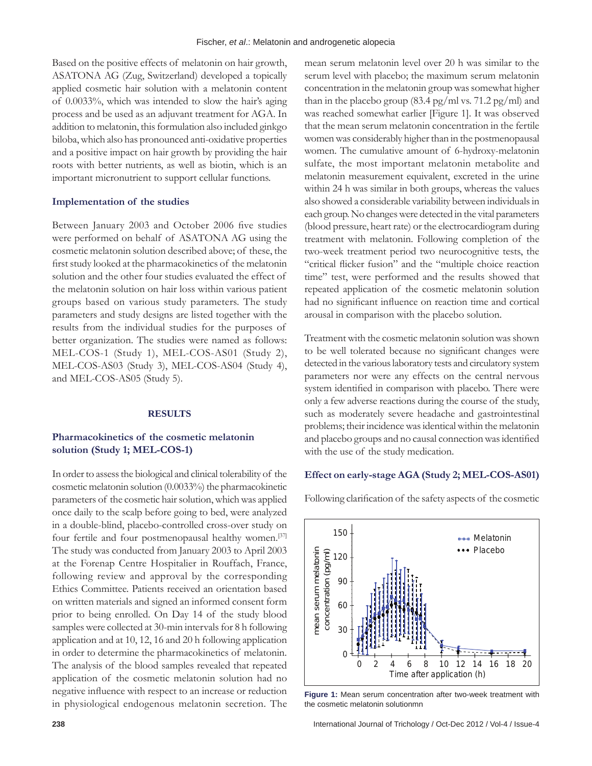Based on the positive effects of melatonin on hair growth, ASATONA AG (Zug, Switzerland) developed a topically applied cosmetic hair solution with a melatonin content of 0.0033%, which was intended to slow the hair's aging process and be used as an adjuvant treatment for AGA. In addition to melatonin, this formulation also included ginkgo biloba, which also has pronounced anti-oxidative properties and a positive impact on hair growth by providing the hair roots with better nutrients, as well as biotin, which is an important micronutrient to support cellular functions.

#### **Implementation of the studies**

Between January 2003 and October 2006 five studies were performed on behalf of ASATONA AG using the cosmetic melatonin solution described above; of these, the first study looked at the pharmacokinetics of the melatonin solution and the other four studies evaluated the effect of the melatonin solution on hair loss within various patient groups based on various study parameters. The study parameters and study designs are listed together with the results from the individual studies for the purposes of better organization. The studies were named as follows: MEL-COS-1 (Study 1), MEL-COS-AS01 (Study 2), MEL-COS-AS03 (Study 3), MEL-COS-AS04 (Study 4), and MEL-COS-AS05 (Study 5).

#### **RESULTS**

# **Pharmacokinetics of the cosmetic melatonin solution (Study 1; MEL‑COS‑1)**

In order to assess the biological and clinical tolerability of the cosmetic melatonin solution (0.0033%) the pharmacokinetic parameters of the cosmetic hair solution, which was applied once daily to the scalp before going to bed, were analyzed in a double-blind, placebo-controlled cross-over study on four fertile and four postmenopausal healthy women.<sup>[37]</sup> The study was conducted from January 2003 to April 2003 at the Forenap Centre Hospitalier in Rouffach, France, following review and approval by the corresponding Ethics Committee. Patients received an orientation based on written materials and signed an informed consent form prior to being enrolled. On Day 14 of the study blood samples were collected at 30-min intervals for 8 h following application and at 10, 12, 16 and 20 h following application in order to determine the pharmacokinetics of melatonin. The analysis of the blood samples revealed that repeated application of the cosmetic melatonin solution had no negative influence with respect to an increase or reduction in physiological endogenous melatonin secretion. The

mean serum melatonin level over 20 h was similar to the serum level with placebo; the maximum serum melatonin concentration in the melatonin group was somewhat higher than in the placebo group (83.4 pg/ml vs. 71.2 pg/ml) and was reached somewhat earlier [Figure 1]. It was observed that the mean serum melatonin concentration in the fertile women was considerably higher than in the postmenopausal women. The cumulative amount of 6-hydroxy-melatonin sulfate, the most important melatonin metabolite and melatonin measurement equivalent, excreted in the urine within 24 h was similar in both groups, whereas the values also showed a considerable variability between individuals in each group. No changes were detected in the vital parameters (blood pressure, heart rate) or the electrocardiogram during treatment with melatonin. Following completion of the two-week treatment period two neurocognitive tests, the "critical flicker fusion" and the "multiple choice reaction time" test, were performed and the results showed that repeated application of the cosmetic melatonin solution had no significant influence on reaction time and cortical arousal in comparison with the placebo solution.

Treatment with the cosmetic melatonin solution was shown to be well tolerated because no significant changes were detected in the various laboratory tests and circulatory system parameters nor were any effects on the central nervous system identified in comparison with placebo. There were only a few adverse reactions during the course of the study, such as moderately severe headache and gastrointestinal problems; their incidence was identical within the melatonin and placebo groups and no causal connection was identified with the use of the study medication.

#### **Effect on early‑stage AGA (Study 2; MEL‑COS‑AS01)**

Following clarification of the safety aspects of the cosmetic



**Figure 1:** Mean serum concentration after two-week treatment with the cosmetic melatonin solutionmn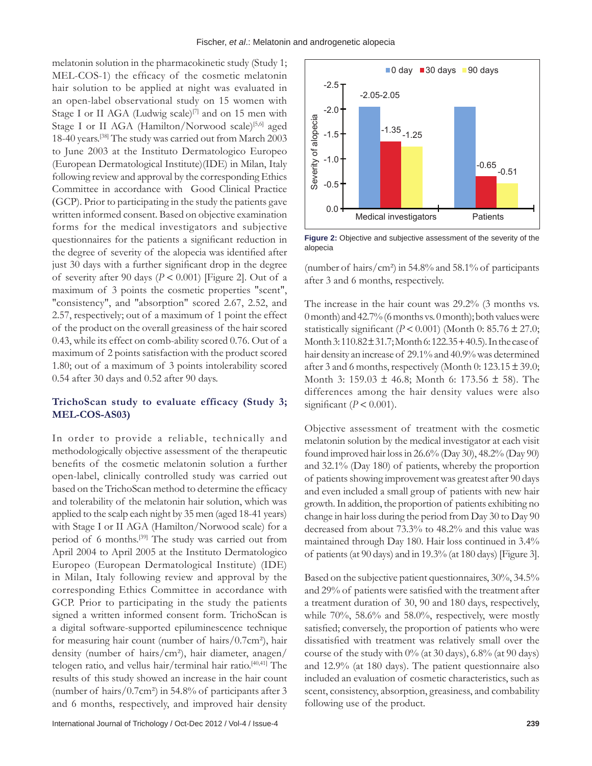melatonin solution in the pharmacokinetic study (Study 1; MEL-COS-1) the efficacy of the cosmetic melatonin hair solution to be applied at night was evaluated in an open-label observational study on 15 women with Stage I or II AGA (Ludwig scale) $[7]$  and on 15 men with Stage I or II AGA (Hamilton/Norwood scale)<sup>[5,6]</sup> aged 18-40 years.[38] The study was carried out from March 2003 to June 2003 at the Instituto Dermatologico Europeo (European Dermatological Institute)(IDE) in Milan, Italy following review and approval by the corresponding Ethics Committee in accordance with Good Clinical Practice (GCP). Prior to participating in the study the patients gave written informed consent. Based on objective examination forms for the medical investigators and subjective questionnaires for the patients a significant reduction in the degree of severity of the alopecia was identified after just 30 days with a further significant drop in the degree of severity after 90 days ( $P < 0.001$ ) [Figure 2]. Out of a maximum of 3 points the cosmetic properties "scent", "consistency", and "absorption" scored 2.67, 2.52, and 2.57, respectively; out of a maximum of 1 point the effect of the product on the overall greasiness of the hair scored 0.43, while its effect on comb-ability scored 0.76. Out of a maximum of 2 points satisfaction with the product scored 1.80; out of a maximum of 3 points intolerability scored 0.54 after 30 days and 0.52 after 90 days.

## **TrichoScan study to evaluate efficacy (Study 3; MEL‑COS‑AS03)**

In order to provide a reliable, technically and methodologically objective assessment of the therapeutic benefits of the cosmetic melatonin solution a further open-label, clinically controlled study was carried out based on the TrichoScan method to determine the efficacy and tolerability of the melatonin hair solution, which was applied to the scalp each night by 35 men (aged 18-41 years) with Stage I or II AGA (Hamilton/Norwood scale) for a period of 6 months.<sup>[39]</sup> The study was carried out from April 2004 to April 2005 at the Instituto Dermatologico Europeo (European Dermatological Institute) (IDE) in Milan, Italy following review and approval by the corresponding Ethics Committee in accordance with GCP. Prior to participating in the study the patients signed a written informed consent form. TrichoScan is a digital software-supported epiluminescence technique for measuring hair count (number of hairs/0.7cm²), hair density (number of hairs/cm²), hair diameter, anagen/ telogen ratio, and vellus hair/terminal hair ratio.[40,41] The results of this study showed an increase in the hair count (number of hairs/0.7cm²) in 54.8% of participants after 3 and 6 months, respectively, and improved hair density



**Figure 2:** Objective and subjective assessment of the severity of the alopecia

(number of hairs/cm²) in 54.8% and 58.1% of participants after 3 and 6 months, respectively.

The increase in the hair count was 29.2% (3 months vs. 0 month) and 42.7% (6 months vs. 0 month); both values were statistically significant ( $P < 0.001$ ) (Month 0: 85.76  $\pm$  27.0; Month 3: 110.82 ± 31.7; Month 6: 122.35 + 40.5). In the case of hair density an increase of 29.1% and 40.9% was determined after 3 and 6 months, respectively (Month  $0: 123.15 \pm 39.0$ ; Month 3: 159.03 ± 46.8; Month 6: 173.56 ± 58). The differences among the hair density values were also significant  $(P < 0.001)$ .

Objective assessment of treatment with the cosmetic melatonin solution by the medical investigator at each visit found improved hair loss in 26.6% (Day 30), 48.2% (Day 90) and 32.1% (Day 180) of patients, whereby the proportion of patients showing improvement was greatest after 90 days and even included a small group of patients with new hair growth. In addition, the proportion of patients exhibiting no change in hair loss during the period from Day 30 to Day 90 decreased from about 73.3% to 48.2% and this value was maintained through Day 180. Hair loss continued in 3.4% of patients(at 90 days) and in 19.3% (at 180 days) [Figure 3].

Based on the subjective patient questionnaires, 30%, 34.5% and 29% of patients were satisfied with the treatment after a treatment duration of 30, 90 and 180 days, respectively, while 70%, 58.6% and 58.0%, respectively, were mostly satisfied; conversely, the proportion of patients who were dissatisfied with treatment was relatively small over the course of the study with  $0\%$  (at 30 days), 6.8% (at 90 days) and 12.9% (at 180 days). The patient questionnaire also included an evaluation of cosmetic characteristics, such as scent, consistency, absorption, greasiness, and combability following use of the product.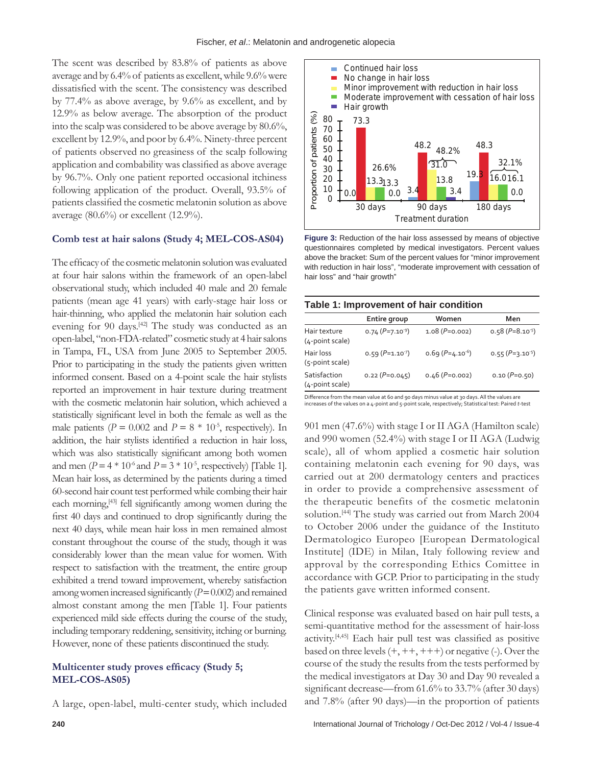The scent was described by 83.8% of patients as above average and by 6.4% of patients as excellent, while 9.6% were dissatisfied with the scent. The consistency was described by 77.4% as above average, by 9.6% as excellent, and by 12.9% as below average. The absorption of the product into the scalp was considered to be above average by 80.6%, excellent by 12.9%, and poor by 6.4%. Ninety-three percent of patients observed no greasiness of the scalp following application and combability was classified as above average by 96.7%. Only one patient reported occasional itchiness following application of the product. Overall, 93.5% of patients classified the cosmetic melatonin solution as above average (80.6%) or excellent (12.9%).

### **Comb test at hair salons (Study 4; MEL‑COS‑AS04)**

The efficacy of the cosmetic melatonin solution was evaluated at four hair salons within the framework of an open-label observational study, which included 40 male and 20 female patients (mean age 41 years) with early-stage hair loss or hair-thinning, who applied the melatonin hair solution each evening for 90 days.<sup>[42]</sup> The study was conducted as an open-label, "non-FDA-related" cosmetic study at 4 hair salons in Tampa, FL, USA from June 2005 to September 2005. Prior to participating in the study the patients given written informed consent. Based on a 4-point scale the hair stylists reported an improvement in hair texture during treatment with the cosmetic melatonin hair solution, which achieved a statistically significant level in both the female as well as the male patients ( $P = 0.002$  and  $P = 8 * 10^{-5}$ , respectively). In addition, the hair stylists identified a reduction in hair loss, which was also statistically significant among both women and men ( $P = 4 * 10^{-6}$  and  $P = 3 * 10^{-5}$ , respectively) [Table 1]. Mean hair loss, as determined by the patients during a timed 60-second hair count test performed while combing their hair each morning,<sup>[43]</sup> fell significantly among women during the first 40 days and continued to drop significantly during the next 40 days, while mean hair loss in men remained almost constant throughout the course of the study, though it was considerably lower than the mean value for women. With respect to satisfaction with the treatment, the entire group exhibited a trend toward improvement, whereby satisfaction among women increased significantly (*P*=0.002) and remained almost constant among the men [Table 1]. Four patients experienced mild side effects during the course of the study, including temporary reddening, sensitivity, itching or burning. However, none of these patients discontinued the study.

# **Multicenter study proves efficacy (Study 5; MEL‑COS‑AS05)**

A large, open-label, multi-center study, which included



**Figure 3:** Reduction of the hair loss assessed by means of objective questionnaires completed by medical investigators. Percent values above the bracket: Sum of the percent values for "minor improvement with reduction in hair loss", "moderate improvement with cessation of hair loss" and "hair growth"

| Table 1: Improvement of hair condition |                      |                      |                      |  |
|----------------------------------------|----------------------|----------------------|----------------------|--|
|                                        | Entire group         | Women                | Men                  |  |
| Hair texture<br>(4-point scale)        | 0.74 $(P=7.10^{-9})$ | $1.08 (P=0.002)$     | $0.58 (P=8.10^{-5})$ |  |
| Hair loss<br>(5-point scale)           | 0.59 $(P=1.10^{7})$  | $0.69 (P=4.10^{-6})$ | 0.55 $(P=3.10^{-5})$ |  |
| Satisfaction<br>(4-point scale)        | $0.22 (P=0.045)$     | $0.46$ (P=0.002)     | $0.10 (P=0.50)$      |  |

Difference from the mean value at 60 and 90 days minus value at 30 days. All the values are increases of the values on a 4-point and 5-point scale, respectively; Statistical test: Paired *t*-test

901 men (47.6%) with stage I or II AGA (Hamilton scale) and 990 women (52.4%) with stage I or II AGA (Ludwig scale), all of whom applied a cosmetic hair solution containing melatonin each evening for 90 days, was carried out at 200 dermatology centers and practices in order to provide a comprehensive assessment of the therapeutic benefits of the cosmetic melatonin solution.[44] The study was carried out from March 2004 to October 2006 under the guidance of the Instituto Dermatologico Europeo [European Dermatological Institute] (IDE) in Milan, Italy following review and approval by the corresponding Ethics Comittee in accordance with GCP. Prior to participating in the study the patients gave written informed consent.

Clinical response was evaluated based on hair pull tests, a semi-quantitative method for the assessment of hair-loss activity.[4,45] Each hair pull test was classified as positive based on three levels  $(+, ++, ++)$  or negative (-). Over the course of the study the results from the tests performed by the medical investigators at Day 30 and Day 90 revealed a significant decrease—from 61.6% to 33.7% (after 30 days) and 7.8% (after 90 days)—in the proportion of patients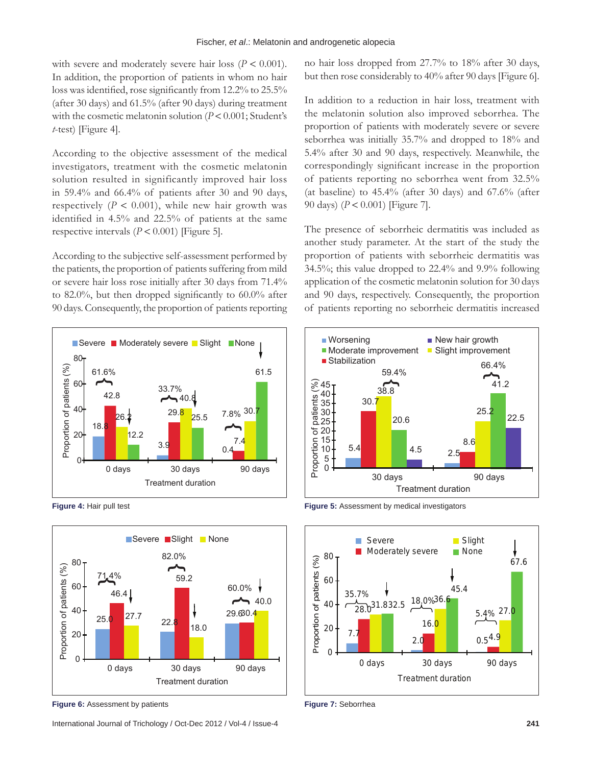with severe and moderately severe hair loss  $(P < 0.001)$ . In addition, the proportion of patients in whom no hair loss was identified, rose significantly from 12.2% to 25.5% (after 30 days) and 61.5% (after 90 days) during treatment with the cosmetic melatonin solution (*P* < 0.001; Student's *t*-test) [Figure 4].

According to the objective assessment of the medical investigators, treatment with the cosmetic melatonin solution resulted in significantly improved hair loss in 59.4% and 66.4% of patients after 30 and 90 days, respectively  $(P < 0.001)$ , while new hair growth was identified in 4.5% and 22.5% of patients at the same respective intervals  $(P < 0.001)$  [Figure 5].

According to the subjective self-assessment performed by the patients, the proportion of patients suffering from mild or severe hair loss rose initially after 30 days from 71.4% to 82.0%, but then dropped significantly to 60.0% after 90 days. Consequently, the proportion of patients reporting



**Figure 4:** Hair pull test



**Figure 6:** Assessment by patients

International Journal of Trichology / Oct-Dec 2012 / Vol-4 / Issue-4 **241**

no hair loss dropped from 27.7% to 18% after 30 days, but then rose considerably to 40% after 90 days [Figure 6].

In addition to a reduction in hair loss, treatment with the melatonin solution also improved seborrhea. The proportion of patients with moderately severe or severe seborrhea was initially 35.7% and dropped to 18% and 5.4% after 30 and 90 days, respectively. Meanwhile, the correspondingly significant increase in the proportion of patients reporting no seborrhea went from 32.5% (at baseline) to 45.4% (after 30 days) and 67.6% (after 90 days) (*P* < 0.001) [Figure 7].

The presence of seborrheic dermatitis was included as another study parameter. At the start of the study the proportion of patients with seborrheic dermatitis was 34.5%; this value dropped to 22.4% and 9.9% following application of the cosmetic melatonin solution for 30 days and 90 days, respectively. Consequently, the proportion of patients reporting no seborrheic dermatitis increased



**Figure 5:** Assessment by medical investigators



**Figure 7:** Seborrhea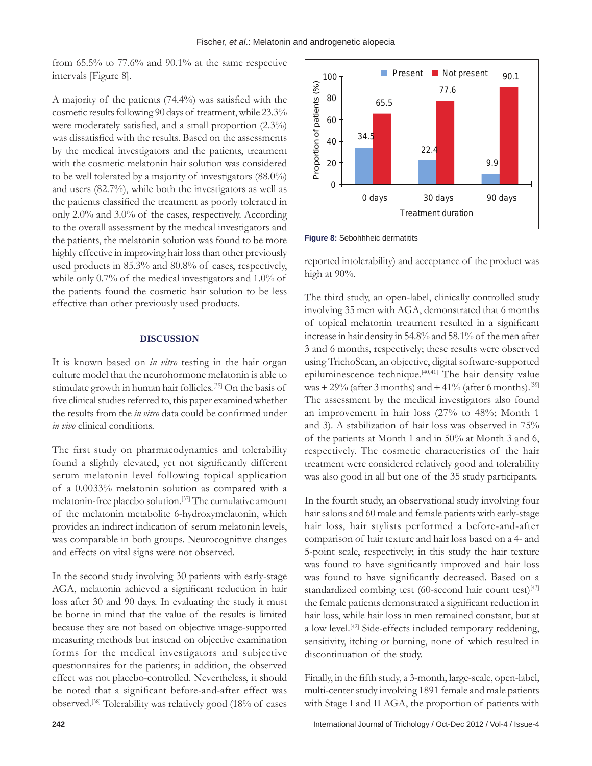from 65.5% to 77.6% and 90.1% at the same respective intervals [Figure 8].

A majority of the patients (74.4%) was satisfied with the cosmetic results following 90 days of treatment, while 23.3% were moderately satisfied, and a small proportion (2.3%) was dissatisfied with the results. Based on the assessments by the medical investigators and the patients, treatment with the cosmetic melatonin hair solution was considered to be well tolerated by a majority of investigators (88.0%) and users (82.7%), while both the investigators as well as the patients classified the treatment as poorly tolerated in only 2.0% and 3.0% of the cases, respectively. According to the overall assessment by the medical investigators and the patients, the melatonin solution was found to be more highly effective in improving hair loss than other previously used products in 85.3% and 80.8% of cases, respectively, while only 0.7% of the medical investigators and 1.0% of the patients found the cosmetic hair solution to be less effective than other previously used products.

#### **DISCUSSION**

It is known based on *in vitro* testing in the hair organ culture model that the neurohormone melatonin is able to stimulate growth in human hair follicles.[35] On the basis of five clinical studies referred to, this paper examined whether the results from the *in vitro* data could be confirmed under *in vivo* clinical conditions.

The first study on pharmacodynamics and tolerability found a slightly elevated, yet not significantly different serum melatonin level following topical application of a 0.0033% melatonin solution as compared with a melatonin-free placebo solution.[37] The cumulative amount of the melatonin metabolite 6-hydroxymelatonin, which provides an indirect indication of serum melatonin levels, was comparable in both groups. Neurocognitive changes and effects on vital signs were not observed.

In the second study involving 30 patients with early-stage AGA, melatonin achieved a significant reduction in hair loss after 30 and 90 days. In evaluating the study it must be borne in mind that the value of the results is limited because they are not based on objective image-supported measuring methods but instead on objective examination forms for the medical investigators and subjective questionnaires for the patients; in addition, the observed effect was not placebo-controlled. Nevertheless, it should be noted that a significant before-and-after effect was observed.[38] Tolerability was relatively good (18% of cases



**Figure 8: Sebohhheic dermatitits** 

reported intolerability) and acceptance of the product was high at 90%.

The third study, an open-label, clinically controlled study involving 35 men with AGA, demonstrated that 6 months of topical melatonin treatment resulted in a significant increase in hair density in 54.8% and 58.1% of the men after 3 and 6 months, respectively; these results were observed using TrichoScan, an objective, digital software-supported epiluminescence technique.[40,41] The hair density value was  $+ 29\%$  (after 3 months) and  $+ 41\%$  (after 6 months).<sup>[39]</sup> The assessment by the medical investigators also found an improvement in hair loss (27% to 48%; Month 1 and 3). A stabilization of hair loss was observed in 75% of the patients at Month 1 and in 50% at Month 3 and 6, respectively. The cosmetic characteristics of the hair treatment were considered relatively good and tolerability was also good in all but one of the 35 study participants.

In the fourth study, an observational study involving four hair salons and 60 male and female patients with early-stage hair loss, hair stylists performed a before-and-after comparison of hair texture and hair loss based on a 4- and 5-point scale, respectively; in this study the hair texture was found to have significantly improved and hair loss was found to have significantly decreased. Based on a standardized combing test (60-second hair count test)<sup>[43]</sup> the female patients demonstrated a significant reduction in hair loss, while hair loss in men remained constant, but at a low level.[42] Side-effects included temporary reddening, sensitivity, itching or burning, none of which resulted in discontinuation of the study.

Finally, in the fifth study, a 3-month, large-scale, open-label, multi-center study involving 1891 female and male patients with Stage I and II AGA, the proportion of patients with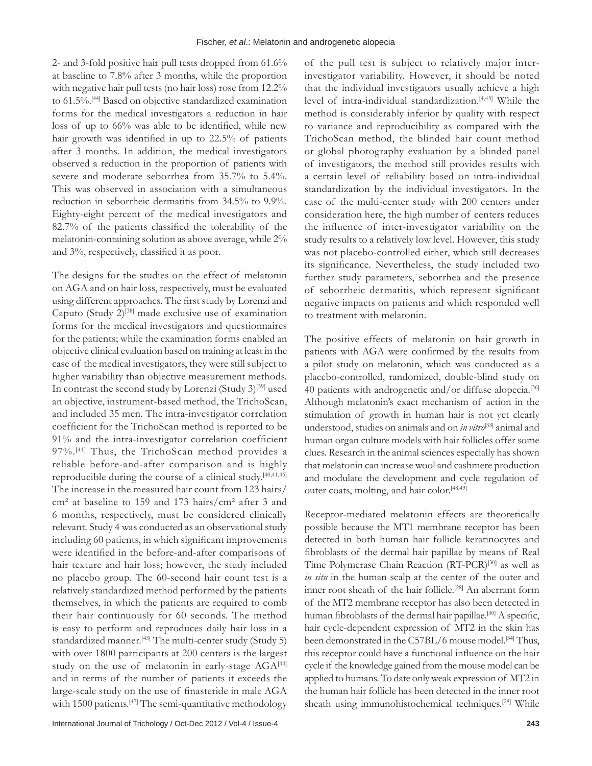2- and 3-fold positive hair pull tests dropped from 61.6% at baseline to 7.8% after 3 months, while the proportion with negative hair pull tests (no hair loss) rose from 12.2% to 61.5%.[44] Based on objective standardized examination forms for the medical investigators a reduction in hair loss of up to 66% was able to be identified, while new hair growth was identified in up to 22.5% of patients after 3 months. In addition, the medical investigators observed a reduction in the proportion of patients with severe and moderate seborrhea from 35.7% to 5.4%. This was observed in association with a simultaneous reduction in seborrheic dermatitis from 34.5% to 9.9%. Eighty-eight percent of the medical investigators and 82.7% of the patients classified the tolerability of the melatonin-containing solution as above average, while 2% and 3%, respectively, classified it as poor.

The designs for the studies on the effect of melatonin on AGA and on hair loss, respectively, must be evaluated using different approaches. The first study by Lorenzi and Caputo (Study  $2$ )<sup>[38]</sup> made exclusive use of examination forms for the medical investigators and questionnaires for the patients; while the examination forms enabled an objective clinical evaluation based on training at least in the case of the medical investigators, they were still subject to higher variability than objective measurement methods. In contrast the second study by Lorenzi (Study 3)<sup>[39]</sup> used an objective, instrument-based method, the TrichoScan, and included 35 men. The intra-investigator correlation coefficient for the TrichoScan method is reported to be 91% and the intra-investigator correlation coefficient 97%.[41] Thus, the TrichoScan method provides a reliable before-and-after comparison and is highly reproducible during the course of a clinical study.[40,41,46] The increase in the measured hair count from 123 hairs/ cm² at baseline to 159 and 173 hairs/cm² after 3 and 6 months, respectively, must be considered clinically relevant. Study 4 was conducted as an observational study including 60 patients, in which significant improvements were identified in the before-and-after comparisons of hair texture and hair loss; however, the study included no placebo group. The 60-second hair count test is a relatively standardized method performed by the patients themselves, in which the patients are required to comb their hair continuously for 60 seconds. The method is easy to perform and reproduces daily hair loss in a standardized manner.<sup>[43]</sup> The multi-center study (Study 5) with over 1800 participants at 200 centers is the largest study on the use of melatonin in early-stage  $AGA^{[44]}$ and in terms of the number of patients it exceeds the large‑scale study on the use of finasteride in male AGA with 1500 patients.<sup>[47]</sup> The semi-quantitative methodology

of the pull test is subject to relatively major interinvestigator variability. However, it should be noted that the individual investigators usually achieve a high level of intra-individual standardization.[4,45] While the method is considerably inferior by quality with respect to variance and reproducibility as compared with the TrichoScan method, the blinded hair count method or global photography evaluation by a blinded panel of investigators, the method still provides results with a certain level of reliability based on intra-individual standardization by the individual investigators. In the case of the multi-center study with 200 centers under consideration here, the high number of centers reduces the influence of inter‑investigator variability on the study results to a relatively low level. However, this study was not placebo-controlled either, which still decreases its significance. Nevertheless, the study included two further study parameters, seborrhea and the presence of seborrheic dermatitis, which represent significant negative impacts on patients and which responded well to treatment with melatonin.

The positive effects of melatonin on hair growth in patients with AGA were confirmed by the results from a pilot study on melatonin, which was conducted as a placebo-controlled, randomized, double-blind study on 40 patients with androgenetic and/or diffuse alopecia.<sup>[36]</sup> Although melatonin's exact mechanism of action in the stimulation of growth in human hair is not yet clearly understood, studies on animals and on *in vitro*[33] animal and human organ culture models with hair follicles offer some clues. Research in the animal sciences especially has shown that melatonin can increase wool and cashmere production and modulate the development and cycle regulation of outer coats, molting, and hair color.<sup>[48,49]</sup>

Receptor-mediated melatonin effects are theoretically possible because the MT1 membrane receptor has been detected in both human hair follicle keratinocytes and fibroblasts of the dermal hair papillae by means of Real Time Polymerase Chain Reaction (RT-PCR)<sup>[30]</sup> as well as *in situ* in the human scalp at the center of the outer and inner root sheath of the hair follicle.<sup>[28]</sup> An aberrant form of the MT2 membrane receptor has also been detected in human fibroblasts of the dermal hair papillae.<sup>[30]</sup> A specific, hair cycle-dependent expression of MT2 in the skin has been demonstrated in the C57BL/6 mouse model.<sup>[34]</sup> Thus, this receptor could have a functional influence on the hair cycle if the knowledge gained from the mouse model can be applied to humans. To date only weak expression of MT2 in the human hair follicle has been detected in the inner root sheath using immunohistochemical techniques.[28] While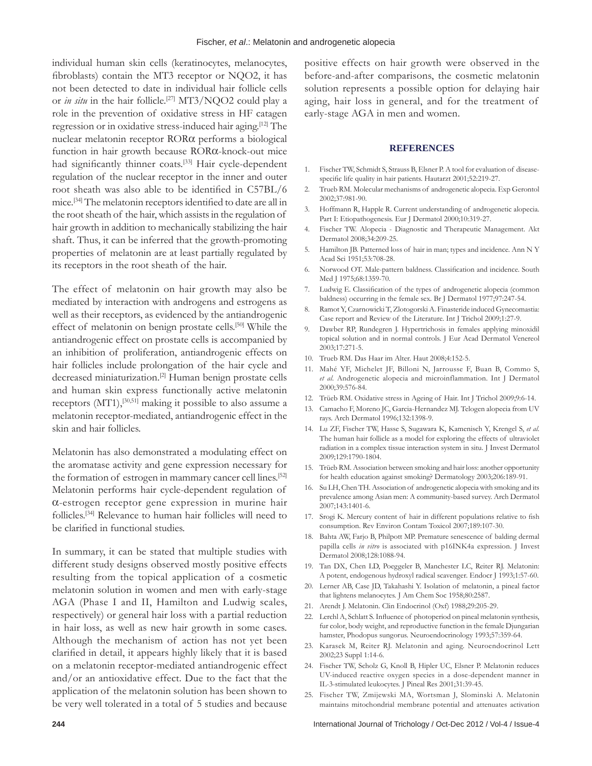individual human skin cells (keratinocytes, melanocytes, fibroblasts) contain the MT3 receptor or NQO2, it has not been detected to date in individual hair follicle cells or *in situ* in the hair follicle.[27] MT3/NQO2 could play a role in the prevention of oxidative stress in HF catagen regression or in oxidative stress-induced hair aging.[12] The nuclear melatonin receptor RORα performs a biological function in hair growth because RORα-knock-out mice had significantly thinner coats.<sup>[33]</sup> Hair cycle-dependent regulation of the nuclear receptor in the inner and outer root sheath was also able to be identified in C57BL/6 mice.[34] The melatonin receptors identified to date are all in the root sheath of the hair, which assists in the regulation of hair growth in addition to mechanically stabilizing the hair shaft. Thus, it can be inferred that the growth-promoting properties of melatonin are at least partially regulated by its receptors in the root sheath of the hair.

The effect of melatonin on hair growth may also be mediated by interaction with androgens and estrogens as well as their receptors, as evidenced by the antiandrogenic effect of melatonin on benign prostate cells.<sup>[50]</sup> While the antiandrogenic effect on prostate cells is accompanied by an inhibition of proliferation, antiandrogenic effects on hair follicles include prolongation of the hair cycle and decreased miniaturization.<sup>[2]</sup> Human benign prostate cells and human skin express functionally active melatonin receptors  $(MT1),$ <sup>[30,51]</sup> making it possible to also assume a melatonin receptor-mediated, antiandrogenic effect in the skin and hair follicles.

Melatonin has also demonstrated a modulating effect on the aromatase activity and gene expression necessary for the formation of estrogen in mammary cancer cell lines.[52] Melatonin performs hair cycle-dependent regulation of α-estrogen receptor gene expression in murine hair follicles.[34] Relevance to human hair follicles will need to be clarified in functional studies.

In summary, it can be stated that multiple studies with different study designs observed mostly positive effects resulting from the topical application of a cosmetic melatonin solution in women and men with early-stage AGA (Phase I and II, Hamilton and Ludwig scales, respectively) or general hair loss with a partial reduction in hair loss, as well as new hair growth in some cases. Although the mechanism of action has not yet been clarified in detail, it appears highly likely that it is based on a melatonin receptor-mediated antiandrogenic effect and/or an antioxidative effect. Due to the fact that the application of the melatonin solution has been shown to be very well tolerated in a total of 5 studies and because

positive effects on hair growth were observed in the before-and-after comparisons, the cosmetic melatonin solution represents a possible option for delaying hair aging, hair loss in general, and for the treatment of early-stage AGA in men and women.

#### **REFERENCES**

- 1. Fischer TW, Schmidt S, Strauss B, Elsner P. A tool for evaluation of diseasespecific life quality in hair patients. Hautarzt 2001;52:219-27.
- 2. Trueb RM. Molecular mechanisms of androgenetic alopecia. Exp Gerontol 2002;37:981-90.
- 3. Hoffmann R, Happle R. Current understanding of androgenetic alopecia. Part I: Etiopathogenesis. Eur J Dermatol 2000;10:319-27.
- 4. Fischer TW. Alopecia Diagnostic and Therapeutic Management. Akt Dermatol 2008;34:209-25.
- 5. Hamilton JB. Patterned loss of hair in man; types and incidence. Ann N Y Acad Sci 1951;53:708-28.
- 6. Norwood OT. Male‑pattern baldness. Classification and incidence. South Med J 1975;68:1359-70.
- 7. Ludwig E. Classification of the types of androgenetic alopecia (common baldness) occurring in the female sex. Br J Dermatol 1977;97:247-54.
- 8. Ramot Y, Czarnowicki T, Zlotogorski A. Finasteride induced Gynecomastia: Case report and Review of the Literature. Int J Trichol 2009;1:27-9.
- 9. Dawber RP, Rundegren J. Hypertrichosis in females applying minoxidil topical solution and in normal controls. J Eur Acad Dermatol Venereol 2003;17:271-5.
- 10. Trueb RM. Das Haar im Alter. Haut 2008;4:152-5.
- 11. Mahé YF, Michelet JF, Billoni N, Jarrousse F, Buan B, Commo S, *et al*. Androgenetic alopecia and microinflammation. Int J Dermatol 2000;39:576-84.
- 12. Trüeb RM. Oxidative stress in Ageing of Hair. Int J Trichol 2009;9:6-14.
- 13. Camacho F, Moreno JC, Garcia-Hernandez MJ. Telogen alopecia from UV rays. Arch Dermatol 1996;132:1398-9.
- 14. Lu ZF, Fischer TW, Hasse S, Sugawara K, Kamenisch Y, Krengel S, *et al*. The human hair follicle as a model for exploring the effects of ultraviolet radiation in a complex tissue interaction system in situ. J Invest Dermatol 2009;129:1790-1804.
- 15. Trüeb RM. Association between smoking and hair loss: another opportunity for health education against smoking? Dermatology 2003;206:189-91.
- 16. Su LH, Chen TH. Association of androgenetic alopecia with smoking and its prevalence among Asian men: A community-based survey. Arch Dermatol 2007;143:1401-6.
- 17. Srogi K. Mercury content of hair in different populations relative to fish consumption. Rev Environ Contam Toxicol 2007;189:107-30.
- 18. Bahta AW, Farjo B, Philpott MP. Premature senescence of balding dermal papilla cells *in vitro* is associated with p16INK4a expression. J Invest Dermatol 2008;128:1088-94.
- 19. Tan DX, Chen LD, Poeggeler B, Manchester LC, Reiter RJ. Melatonin: A potent, endogenous hydroxyl radical scavenger. Endocr J 1993;1:57-60.
- 20. Lerner AB, Case JD, Takahashi Y. Isolation of melatonin, a pineal factor that lightens melanocytes. J Am Chem Soc 1958;80:2587.
- 21. Arendt J. Melatonin. Clin Endocrinol (Oxf) 1988;29:205-29.
- 22. Lerchl A, Schlatt S. Influence of photoperiod on pineal melatonin synthesis, fur color, body weight, and reproductive function in the female Djungarian hamster, Phodopus sungorus. Neuroendocrinology 1993;57:359-64.
- 23. Karasek M, Reiter RJ. Melatonin and aging. Neuroendocrinol Lett 2002;23 Suppl 1:14-6.
- 24. Fischer TW, Scholz G, Knoll B, Hipler UC, Elsner P. Melatonin reduces UV-induced reactive oxygen species in a dose-dependent manner in IL-3-stimulated leukocytes. J Pineal Res 2001;31:39-45.
- 25. Fischer TW, Zmijewski MA, Wortsman J, Slominski A. Melatonin maintains mitochondrial membrane potential and attenuates activation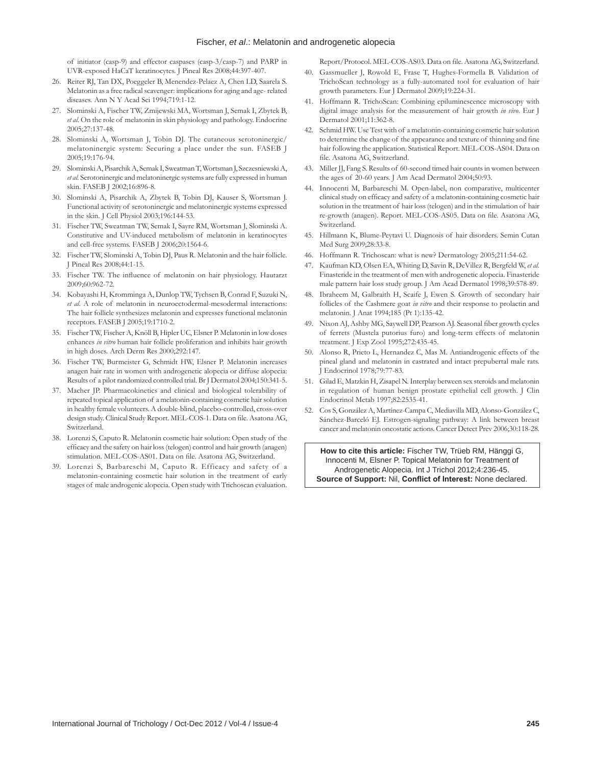#### Fischer, *et al*.: Melatonin and androgenetic alopecia

of initiator (casp-9) and effector caspases (casp-3/casp-7) and PARP in UVR-exposed HaCaT keratinocytes. J Pineal Res 2008;44:397-407.

- 26. Reiter RJ, Tan DX, Poeggeler B, Menendez-Pelaez A, Chen LD, Saarela S. Melatonin as a free radical scavenger: implications for aging and age- related diseases. Ann N Y Acad Sci 1994;719:1-12.
- 27. Slominski A, Fischer TW, Zmijewski MA, Wortsman J, Semak I, Zbytek B, *et al*. On the role of melatonin in skin physiology and pathology. Endocrine 2005;27:137-48.
- 28. Slominski A, Wortsman J, Tobin DJ. The cutaneous serotoninergic/ melatoninergic system: Securing a place under the sun. FASEB J 2005;19:176-94.
- 29. SlominskiA, PisarchikA, Semak I, SweatmanT, Wortsman J, SzczesniewskiA, *et al*. Serotoninergic and melatoninergic systems are fully expressed in human skin. FASEB J 2002;16:896-8.
- 30. Slominski A, Pisarchik A, Zbytek B, Tobin DJ, Kauser S, Wortsman J. Functional activity of serotoninergic and melatoninergic systems expressed in the skin. J Cell Physiol 2003;196:144-53.
- 31. Fischer TW, Sweatman TW, Semak I, Sayre RM, Wortsman J, Slominski A. Constitutive and UV-induced metabolism of melatonin in keratinocytes and cell-free systems. FASEB J 2006;20:1564-6.
- 32. Fischer TW, Slominski A, Tobin DJ, Paus R. Melatonin and the hair follicle. J Pineal Res 2008;44:1-15.
- 33. Fischer TW. The influence of melatonin on hair physiology. Hautarzt 2009;60:962-72.
- 34. Kobayashi H, Kromminga A, Dunlop TW, Tychsen B, Conrad F, Suzuki N, *et al*. A role of melatonin in neuroectodermal-mesodermal interactions: The hair follicle synthesizes melatonin and expresses functional melatonin receptors. FASEB J 2005;19:1710-2.
- 35. Fischer TW, Fischer A, Knöll B, Hipler UC, Elsner P. Melatonin in low doses enhances *in vitro* human hair follicle proliferation and inhibits hair growth in high doses. Arch Derm Res 2000;292:147.
- 36. Fischer TW, Burmeister G, Schmidt HW, Elsner P. Melatonin increases anagen hair rate in women with androgenetic alopecia or diffuse alopecia: Results of a pilot randomized controlled trial. Br J Dermatol 2004;150:341-5.
- 37. Macher JP. Pharmacokinetics and clinical and biological tolerability of repeated topical application of a melatonin-containing cosmetic hair solution in healthy female volunteers. A double-blind, placebo-controlled, cross-over design study. Clinical Study Report. MEL‑COS‑1. Data on file. Asatona AG, Switzerland.
- 38. Lorenzi S, Caputo R. Melatonin cosmetic hair solution: Open study of the efficacy and the safety on hair loss(telogen) control and hair growth (anagen) stimulation. MEL‑COS‑AS01. Data on file. Asatona AG, Switzerland.
- 39. Lorenzi S, Barbareschi M, Caputo R. Efficacy and safety of a melatonin-containing cosmetic hair solution in the treatment of early stages of male androgenic alopecia. Open study with Trichoscan evaluation.

Report/Protocol. MEL‑COS‑AS03. Data on file. Asatona AG, Switzerland.

- 40. Gassmueller J, Rowold E, Frase T, Hughes-Formella B. Validation of TrichoScan technology as a fully-automated tool for evaluation of hair growth parameters. Eur J Dermatol 2009;19:224-31.
- 41. Hoffmann R. TrichoScan: Combining epiluminescence microscopy with digital image analysis for the measurement of hair growth *in vivo*. Eur J Dermatol 2001;11:362-8.
- 42. Schmid HW. Use Test with of a melatonin-containing cosmetic hair solution to determine the change of the appearance and texture of thinning and fine hair following the application. Statistical Report. MEL-COS-AS04. Data on file. Asatona AG, Switzerland.
- 43. Miller JJ, Fang S. Results of 60-second timed hair counts in women between the ages of 20-60 years. J Am Acad Dermatol 2004;50:93.
- 44. Innocenti M, Barbareschi M. Open-label, non comparative, multicenter clinical study on efficacy and safety of a melatonin‑containing cosmetic hair solution in the treatment of hair loss(telogen) and in the stimulation of hair re‑growth (anagen). Report. MEL‑COS‑AS05. Data on file. Asatona AG, Switzerland.
- 45. Hillmann K, Blume-Peytavi U. Diagnosis of hair disorders. Semin Cutan Med Surg 2009;28:33-8.
- 46. Hoffmann R. Trichoscan: what is new? Dermatology 2005;211:54-62.
- 47. Kaufman KD, Olsen EA, Whiting D, Savin R, DeVillez R, Bergfeld W, *et al*. Finasteride in the treatment of men with androgenetic alopecia. Finasteride male pattern hair loss study group. J Am Acad Dermatol 1998;39:578-89.
- 48. Ibraheem M, Galbraith H, Scaife J, Ewen S. Growth of secondary hair follicles of the Cashmere goat *in vitro* and their response to prolactin and melatonin. J Anat 1994;185 (Pt 1):135-42.
- 49. Nixon AJ, Ashby MG, Saywell DP, Pearson AJ. Seasonal fiber growth cycles of ferrets (Mustela putorius furo) and long-term effects of melatonin treatment. J Exp Zool 1995;272:435-45.
- 50. Alonso R, Prieto L, Hernandez C, Mas M. Antiandrogenic effects of the pineal gland and melatonin in castrated and intact prepubertal male rats. J Endocrinol 1978;79:77-83.
- 51. Gilad E, Matzkin H, Zisapel N. Interplay between sex steroids and melatonin in regulation of human benign prostate epithelial cell growth. J Clin Endocrinol Metab 1997;82:2535-41.
- 52. Cos S, González A, Martínez-Campa C, Mediavilla MD, Alonso-González C, Sánchez-Barceló EJ. Estrogen-signaling pathway: A link between breast cancer and melatonin oncostatic actions. Cancer Detect Prev 2006;30:118-28.

**How to cite this article:** Fischer TW, Trüeb RM, Hänggi G, Innocenti M, Elsner P. Topical Melatonin for Treatment of Androgenetic Alopecia. Int J Trichol 2012;4:236-45. **Source of Support:** Nil, **Conflict of Interest:** None declared.